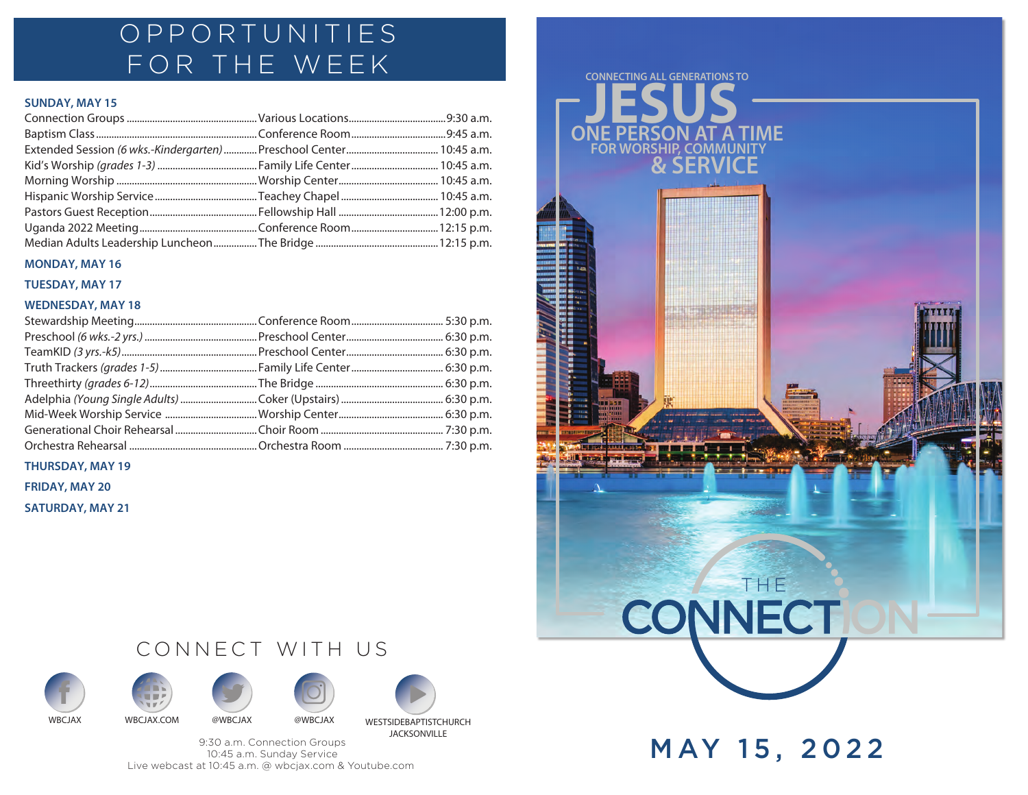## OPPORTUNITIES FOR THE WEEK

## **SUNDAY, MAY 15**

### **MONDAY, MAY 16**

**TUESDAY, MAY 17**

### **WEDNESDAY, MAY 18**

**THURSDAY, MAY 19**

**FRIDAY, MAY 20**

**SATURDAY, MAY 21**







CONNECT WITH US







9:30 a.m. Connection Groups 10:45 a.m. Sunday Service Live webcast at 10:45 a.m. @ wbcjax.com & Youtube.com